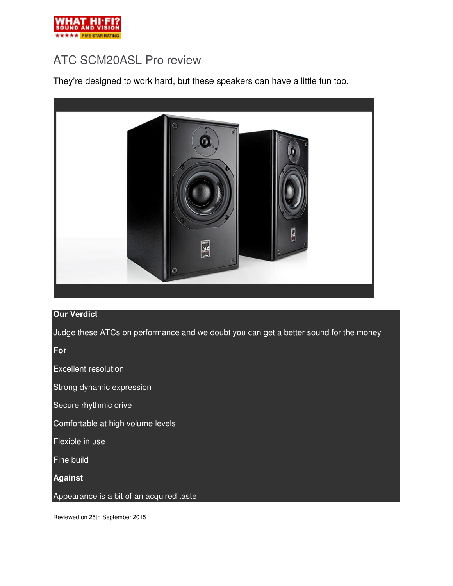

# ATC SCM20ASL Pro review

They're designed to work hard, but these speakers can have a little fun too.



## **Our Verdict**

Judge these ATCs on performance and we doubt you can get a better sound for the money

**For** 

Excellent resolution

Strong dynamic expression

Secure rhythmic drive

Comfortable at high volume levels

Flexible in use

Fine build

**Against** 

Appearance is a bit of an acquired taste

Reviewed on 25th September 2015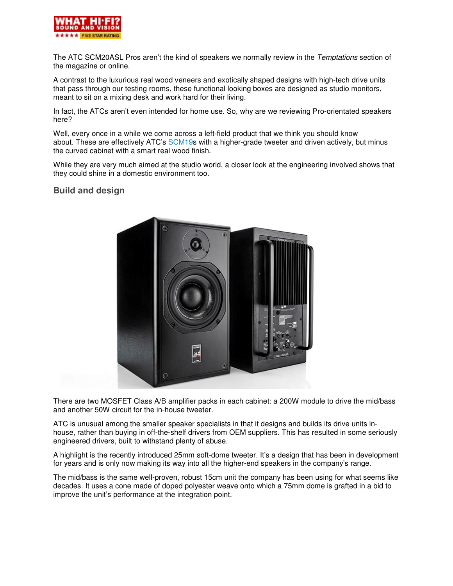

The ATC SCM20ASL Pros aren't the kind of speakers we normally review in the Temptations section of the magazine or online.

A contrast to the luxurious real wood veneers and exotically shaped designs with high-tech drive units that pass through our testing rooms, these functional looking boxes are designed as studio monitors, meant to sit on a mixing desk and work hard for their living.

In fact, the ATCs aren't even intended for home use. So, why are we reviewing Pro-orientated speakers here?

Well, every once in a while we come across a left-field product that we think you should know about. These are effectively ATC's SCM19s with a higher-grade tweeter and driven actively, but minus the curved cabinet with a smart real wood finish.

While they are very much aimed at the studio world, a closer look at the engineering involved shows that they could shine in a domestic environment too.

## **Build and design**



There are two MOSFET Class A/B amplifier packs in each cabinet: a 200W module to drive the mid/bass and another 50W circuit for the in-house tweeter.

ATC is unusual among the smaller speaker specialists in that it designs and builds its drive units inhouse, rather than buying in off-the-shelf drivers from OEM suppliers. This has resulted in some seriously engineered drivers, built to withstand plenty of abuse.

A highlight is the recently introduced 25mm soft-dome tweeter. It's a design that has been in development for years and is only now making its way into all the higher-end speakers in the company's range.

The mid/bass is the same well-proven, robust 15cm unit the company has been using for what seems like decades. It uses a cone made of doped polyester weave onto which a 75mm dome is grafted in a bid to improve the unit's performance at the integration point.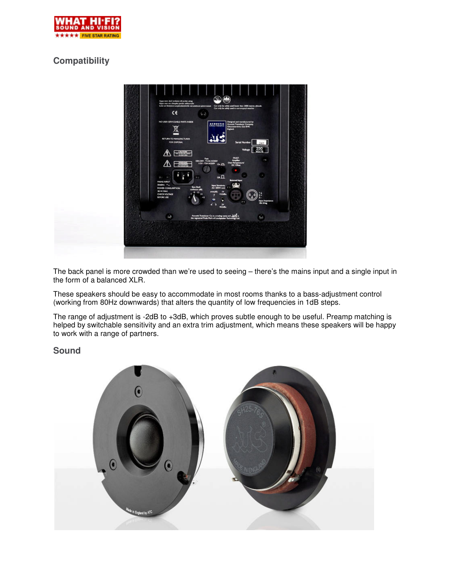

# **Compatibility**



The back panel is more crowded than we're used to seeing – there's the mains input and a single input in the form of a balanced XLR.

These speakers should be easy to accommodate in most rooms thanks to a bass-adjustment control (working from 80Hz downwards) that alters the quantity of low frequencies in 1dB steps.

The range of adjustment is -2dB to +3dB, which proves subtle enough to be useful. Preamp matching is helped by switchable sensitivity and an extra trim adjustment, which means these speakers will be happy to work with a range of partners.

### **Sound**